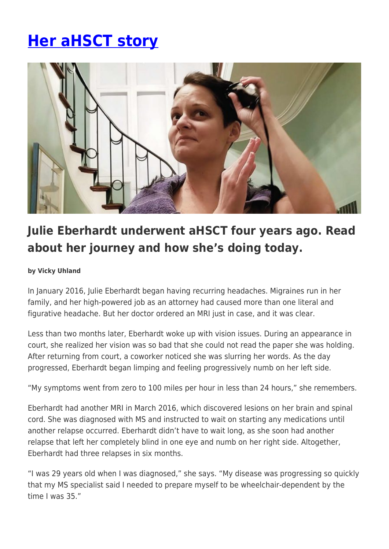## **[Her aHSCT story](https://momentummagazineonline.com/her-ahsct-story/)**



## **Julie Eberhardt underwent aHSCT four years ago. Read about her journey and how she's doing today.**

## **by Vicky Uhland**

In January 2016, Julie Eberhardt began having recurring headaches. Migraines run in her family, and her high-powered job as an attorney had caused more than one literal and figurative headache. But her doctor ordered an MRI just in case, and it was clear.

Less than two months later, Eberhardt woke up with vision issues. During an appearance in court, she realized her vision was so bad that she could not read the paper she was holding. After returning from court, a coworker noticed she was slurring her words. As the day progressed, Eberhardt began limping and feeling progressively numb on her left side.

"My symptoms went from zero to 100 miles per hour in less than 24 hours," she remembers.

Eberhardt had another MRI in March 2016, which discovered lesions on her brain and spinal cord. She was diagnosed with MS and instructed to wait on starting any medications until another relapse occurred. Eberhardt didn't have to wait long, as she soon had another relapse that left her completely blind in one eye and numb on her right side. Altogether, Eberhardt had three relapses in six months.

"I was 29 years old when I was diagnosed," she says. "My disease was progressing so quickly that my MS specialist said I needed to prepare myself to be wheelchair-dependent by the time I was 35."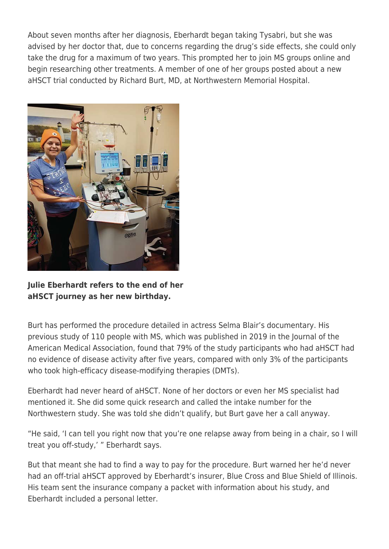About seven months after her diagnosis, Eberhardt began taking Tysabri, but she was advised by her doctor that, due to concerns regarding the drug's side effects, she could only take the drug for a maximum of two years. This prompted her to join MS groups online and begin researching other treatments. A member of one of her groups posted about a new aHSCT trial conducted by Richard Burt, MD, at Northwestern Memorial Hospital.



**Julie Eberhardt refers to the end of her aHSCT journey as her new birthday.**

Burt has performed the procedure detailed in actress Selma Blair's documentary. His previous study of 110 people with MS, which was published in 2019 in the Journal of the American Medical Association, found that 79% of the study participants who had aHSCT had no evidence of disease activity after five years, compared with only 3% of the participants who took high-efficacy disease-modifying therapies (DMTs).

Eberhardt had never heard of aHSCT. None of her doctors or even her MS specialist had mentioned it. She did some quick research and called the intake number for the Northwestern study. She was told she didn't qualify, but Burt gave her a call anyway.

"He said, 'I can tell you right now that you're one relapse away from being in a chair, so I will treat you off-study,' " Eberhardt says.

But that meant she had to find a way to pay for the procedure. Burt warned her he'd never had an off-trial aHSCT approved by Eberhardt's insurer, Blue Cross and Blue Shield of Illinois. His team sent the insurance company a packet with information about his study, and Eberhardt included a personal letter.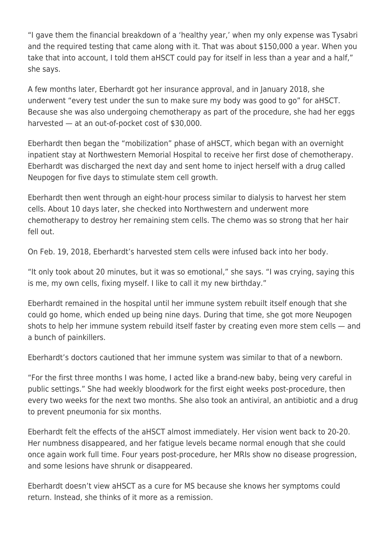"I gave them the financial breakdown of a 'healthy year,' when my only expense was Tysabri and the required testing that came along with it. That was about \$150,000 a year. When you take that into account, I told them aHSCT could pay for itself in less than a year and a half," she says.

A few months later, Eberhardt got her insurance approval, and in January 2018, she underwent "every test under the sun to make sure my body was good to go" for aHSCT. Because she was also undergoing chemotherapy as part of the procedure, she had her eggs harvested — at an out-of-pocket cost of \$30,000.

Eberhardt then began the "mobilization" phase of aHSCT, which began with an overnight inpatient stay at Northwestern Memorial Hospital to receive her first dose of chemotherapy. Eberhardt was discharged the next day and sent home to inject herself with a drug called Neupogen for five days to stimulate stem cell growth.

Eberhardt then went through an eight-hour process similar to dialysis to harvest her stem cells. About 10 days later, she checked into Northwestern and underwent more chemotherapy to destroy her remaining stem cells. The chemo was so strong that her hair fell out.

On Feb. 19, 2018, Eberhardt's harvested stem cells were infused back into her body.

"It only took about 20 minutes, but it was so emotional," she says. "I was crying, saying this is me, my own cells, fixing myself. I like to call it my new birthday."

Eberhardt remained in the hospital until her immune system rebuilt itself enough that she could go home, which ended up being nine days. During that time, she got more Neupogen shots to help her immune system rebuild itself faster by creating even more stem cells — and a bunch of painkillers.

Eberhardt's doctors cautioned that her immune system was similar to that of a newborn.

"For the first three months I was home, I acted like a brand-new baby, being very careful in public settings." She had weekly bloodwork for the first eight weeks post-procedure, then every two weeks for the next two months. She also took an antiviral, an antibiotic and a drug to prevent pneumonia for six months.

Eberhardt felt the effects of the aHSCT almost immediately. Her vision went back to 20-20. Her numbness disappeared, and her fatigue levels became normal enough that she could once again work full time. Four years post-procedure, her MRIs show no disease progression, and some lesions have shrunk or disappeared.

Eberhardt doesn't view aHSCT as a cure for MS because she knows her symptoms could return. Instead, she thinks of it more as a remission.